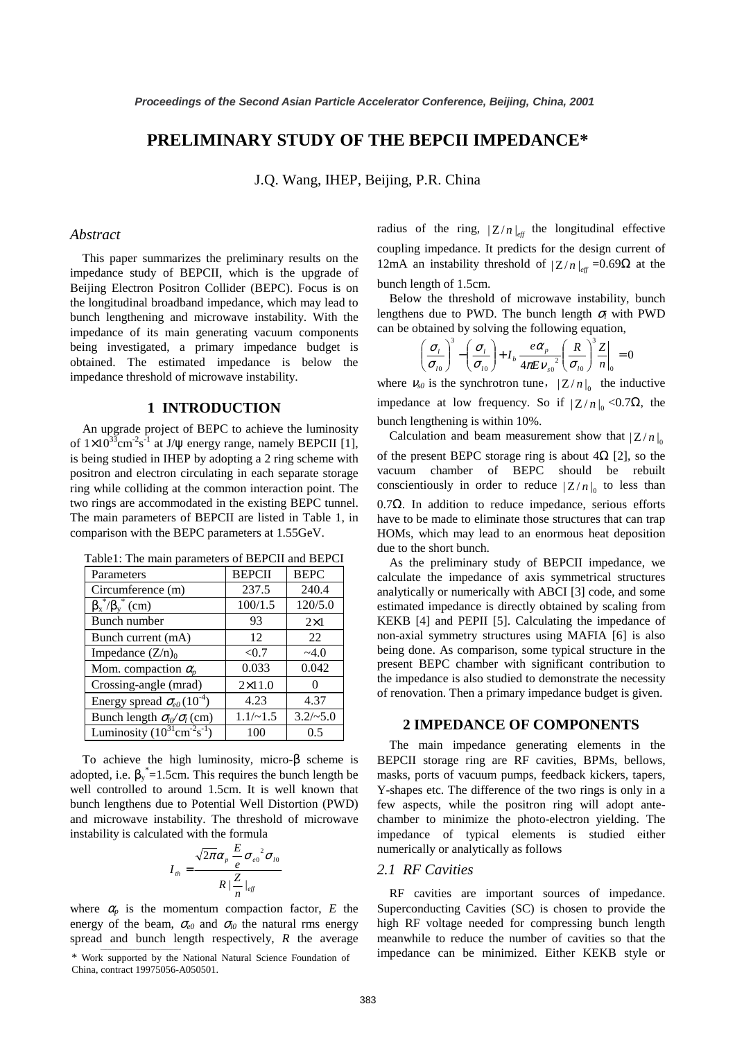# **PRELIMINARY STUDY OF THE BEPCII IMPEDANCE\***

J.Q. Wang, IHEP, Beijing, P.R. China

### *Abstract*

This paper summarizes the preliminary results on the impedance study of BEPCII, which is the upgrade of Beijing Electron Positron Collider (BEPC). Focus is on the longitudinal broadband impedance, which may lead to bunch lengthening and microwave instability. With the impedance of its main generating vacuum components being investigated, a primary impedance budget is obtained. The estimated impedance is below the impedance threshold of microwave instability.

# **1 INTRODUCTION**

An upgrade project of BEPC to achieve the luminosity of  $1 \times 10^{33}$ cm<sup>-2</sup>s<sup>-1</sup> at J/ $\psi$  energy range, namely BEPCII [1], is being studied in IHEP by adopting a 2 ring scheme with positron and electron circulating in each separate storage ring while colliding at the common interaction point. The two rings are accommodated in the existing BEPC tunnel. The main parameters of BEPCII are listed in Table 1, in comparison with the BEPC parameters at 1.55GeV.

Table1: The main parameters of BEPCII and BEPCI

| Parameters                                          | <b>BEPCII</b> | <b>BEPC</b> |
|-----------------------------------------------------|---------------|-------------|
| Circumference (m)                                   | 237.5         | 240.4       |
| $\beta_x^*/\beta_y^*$ (cm)                          | 100/1.5       | 120/5.0     |
| Bunch number                                        | 93            | $2\times1$  |
| Bunch current (mA)                                  | 12            | 22          |
| Impedance $(Z/n)_0$                                 | < 0.7         | $-4.0$      |
| Mom. compaction $\alpha$ <sub>n</sub>               | 0.033         | 0.042       |
| Crossing-angle (mrad)                               | $2\times11.0$ |             |
| Energy spread $\sigma_{e0}(10^{-4})$                | 4.23          | 4.37        |
| Bunch length $\sigma_{l}(\sigma_l)$ (cm)            | $1.1/-1.5$    | $3.2/-5.0$  |
| Luminosity $(10^{31} \text{cm}^{-2} \text{s}^{-1})$ | 100           | 0.5         |

To achieve the high luminosity, micro-β scheme is adopted, i.e.  $\beta_y^* = 1.5$ cm. This requires the bunch length be well controlled to around 1.5cm. It is well known that bunch lengthens due to Potential Well Distortion (PWD) and microwave instability. The threshold of microwave instability is calculated with the formula

$$
I_{th} = \frac{\sqrt{2\pi}\alpha_p \frac{E}{e} \sigma_{e0}^2 \sigma_{l0}}{R |\frac{Z}{n}|_{\text{eff}}}
$$

where  $\alpha_p$  is the momentum compaction factor, *E* the energy of the beam,  $\sigma_{e0}$  and  $\sigma_{lo}$  the natural rms energy spread and bunch length respectively, *R* the average

\* Work supported by the National Natural Science Foundation of China, contract 19975056-A050501.

radius of the ring,  $|Z/n|_{\text{eff}}$  the longitudinal effective coupling impedance. It predicts for the design current of 12mA an instability threshold of  $|Z/n|_{eff} = 0.69Ω$  at the bunch length of 1.5cm.

Below the threshold of microwave instability, bunch lengthens due to PWD. The bunch length  $\sigma_l$  with PWD can be obtained by solving the following equation,

$$
\left(\frac{\sigma_{l}}{\sigma_{l0}}\right)^3 - \left(\frac{\sigma_{l}}{\sigma_{l0}}\right) + I_b \frac{e\alpha_p}{4\pi E V_{s0}^2} \left(\frac{R}{\sigma_{l0}}\right)^3 \frac{Z}{n}\Big|_{0} = 0
$$

where  $v_{s0}$  is the synchrotron tune,  $|Z/n|_0$  the inductive impedance at low frequency. So if  $|Z/n|_0 < 0.7Ω$ , the bunch lengthening is within 10%.

Calculation and beam measurement show that  $|Z/n|_0$ of the present BEPC storage ring is about  $4\Omega$  [2], so the vacuum chamber of BEPC should be rebuilt conscientiously in order to reduce  $|Z/n|_0$  to less than 0.7Ω. In addition to reduce impedance, serious efforts have to be made to eliminate those structures that can trap HOMs, which may lead to an enormous heat deposition due to the short bunch.

As the preliminary study of BEPCII impedance, we calculate the impedance of axis symmetrical structures analytically or numerically with ABCI [3] code, and some estimated impedance is directly obtained by scaling from KEKB [4] and PEPII [5]. Calculating the impedance of non-axial symmetry structures using MAFIA [6] is also being done. As comparison, some typical structure in the present BEPC chamber with significant contribution to the impedance is also studied to demonstrate the necessity of renovation. Then a primary impedance budget is given.

#### **2 IMPEDANCE OF COMPONENTS**

The main impedance generating elements in the BEPCII storage ring are RF cavities, BPMs, bellows, masks, ports of vacuum pumps, feedback kickers, tapers, Y-shapes etc. The difference of the two rings is only in a few aspects, while the positron ring will adopt antechamber to minimize the photo-electron yielding. The impedance of typical elements is studied either numerically or analytically as follows

### *2.1 RF Cavities*

RF cavities are important sources of impedance. Superconducting Cavities (SC) is chosen to provide the high RF voltage needed for compressing bunch length meanwhile to reduce the number of cavities so that the impedance can be minimized. Either KEKB style or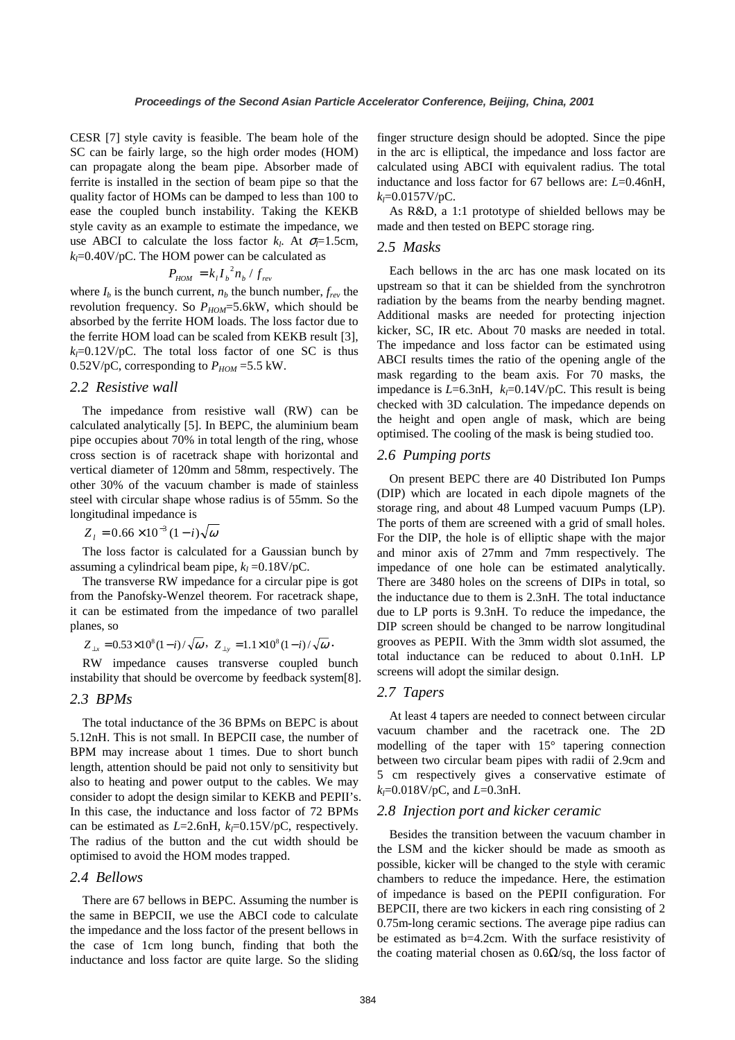CESR [7] style cavity is feasible. The beam hole of the SC can be fairly large, so the high order modes (HOM) can propagate along the beam pipe. Absorber made of ferrite is installed in the section of beam pipe so that the quality factor of HOMs can be damped to less than 100 to ease the coupled bunch instability. Taking the KEKB style cavity as an example to estimate the impedance, we use ABCI to calculate the loss factor  $k_l$ . At  $\sigma_l = 1.5$ cm,  $k_f$ =0.40V/pC. The HOM power can be calculated as

$$
P_{HOM} = k_l I_b^2 n_b / f_{rev}
$$

where  $I_b$  is the bunch current,  $n_b$  the bunch number,  $f_{rev}$  the revolution frequency. So  $P_{HOM} = 5.6$  kW, which should be absorbed by the ferrite HOM loads. The loss factor due to the ferrite HOM load can be scaled from KEKB result [3],  $k_f$ =0.12V/pC. The total loss factor of one SC is thus 0.52V/pC, corresponding to  $P_{HOM}$  =5.5 kW.

### *2.2 Resistive wall*

The impedance from resistive wall (RW) can be calculated analytically [5]. In BEPC, the aluminium beam pipe occupies about 70% in total length of the ring, whose cross section is of racetrack shape with horizontal and vertical diameter of 120mm and 58mm, respectively. The other 30% of the vacuum chamber is made of stainless steel with circular shape whose radius is of 55mm. So the longitudinal impedance is

 $Z_i = 0.66 \times 10^{-3} (1 - i) \sqrt{\omega}$ 

The loss factor is calculated for a Gaussian bunch by assuming a cylindrical beam pipe,  $k_l = 0.18$ V/pC.

The transverse RW impedance for a circular pipe is got from the Panofsky-Wenzel theorem. For racetrack shape, it can be estimated from the impedance of two parallel planes, so

 $Z_{\perp x} = 0.53 \times 10^8 (1 - i) / \sqrt{\omega}$ ,  $Z_{\perp y} = 1.1 \times 10^8 (1 - i) / \sqrt{\omega}$ .

RW impedance causes transverse coupled bunch instability that should be overcome by feedback system[8].

#### *2.3 BPMs*

The total inductance of the 36 BPMs on BEPC is about 5.12nH. This is not small. In BEPCII case, the number of BPM may increase about 1 times. Due to short bunch length, attention should be paid not only to sensitivity but also to heating and power output to the cables. We may consider to adopt the design similar to KEKB and PEPII's. In this case, the inductance and loss factor of 72 BPMs can be estimated as  $L=2.6$ nH,  $k_l=0.15$ V/pC, respectively. The radius of the button and the cut width should be optimised to avoid the HOM modes trapped.

## *2.4 Bellows*

There are 67 bellows in BEPC. Assuming the number is the same in BEPCII, we use the ABCI code to calculate the impedance and the loss factor of the present bellows in the case of 1cm long bunch, finding that both the inductance and loss factor are quite large. So the sliding finger structure design should be adopted. Since the pipe in the arc is elliptical, the impedance and loss factor are calculated using ABCI with equivalent radius. The total inductance and loss factor for 67 bellows are: *L*=0.46nH,  $k_l$ =0.0157V/pC.

As R&D, a 1:1 prototype of shielded bellows may be made and then tested on BEPC storage ring.

### *2.5 Masks*

Each bellows in the arc has one mask located on its upstream so that it can be shielded from the synchrotron radiation by the beams from the nearby bending magnet. Additional masks are needed for protecting injection kicker, SC, IR etc. About 70 masks are needed in total. The impedance and loss factor can be estimated using ABCI results times the ratio of the opening angle of the mask regarding to the beam axis. For 70 masks, the impedance is  $L=6.3$ nH,  $k_i=0.14V/pC$ . This result is being checked with 3D calculation. The impedance depends on the height and open angle of mask, which are being optimised. The cooling of the mask is being studied too.

#### *2.6 Pumping ports*

On present BEPC there are 40 Distributed Ion Pumps (DIP) which are located in each dipole magnets of the storage ring, and about 48 Lumped vacuum Pumps (LP). The ports of them are screened with a grid of small holes. For the DIP, the hole is of elliptic shape with the major and minor axis of 27mm and 7mm respectively. The impedance of one hole can be estimated analytically. There are 3480 holes on the screens of DIPs in total, so the inductance due to them is 2.3nH. The total inductance due to LP ports is 9.3nH. To reduce the impedance, the DIP screen should be changed to be narrow longitudinal grooves as PEPII. With the 3mm width slot assumed, the total inductance can be reduced to about 0.1nH. LP screens will adopt the similar design.

### *2.7 Tapers*

At least 4 tapers are needed to connect between circular vacuum chamber and the racetrack one. The 2D modelling of the taper with 15° tapering connection between two circular beam pipes with radii of 2.9cm and 5 cm respectively gives a conservative estimate of *kl*=0.018V/pC, and *L*=0.3nH.

#### *2.8 Injection port and kicker ceramic*

Besides the transition between the vacuum chamber in the LSM and the kicker should be made as smooth as possible, kicker will be changed to the style with ceramic chambers to reduce the impedance. Here, the estimation of impedance is based on the PEPII configuration. For BEPCII, there are two kickers in each ring consisting of 2 0.75m-long ceramic sections. The average pipe radius can be estimated as b=4.2cm. With the surface resistivity of the coating material chosen as  $0.6\Omega/\text{sq}$ , the loss factor of